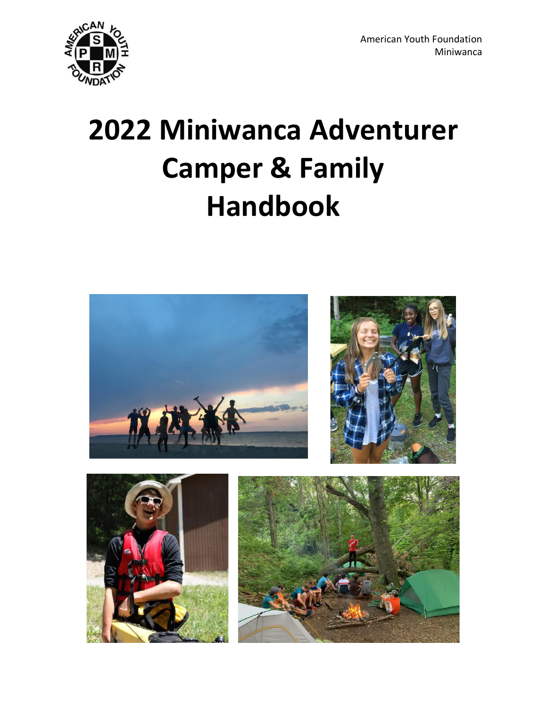

# **2022 Miniwanca Adventurer Camper & Family Handbook**

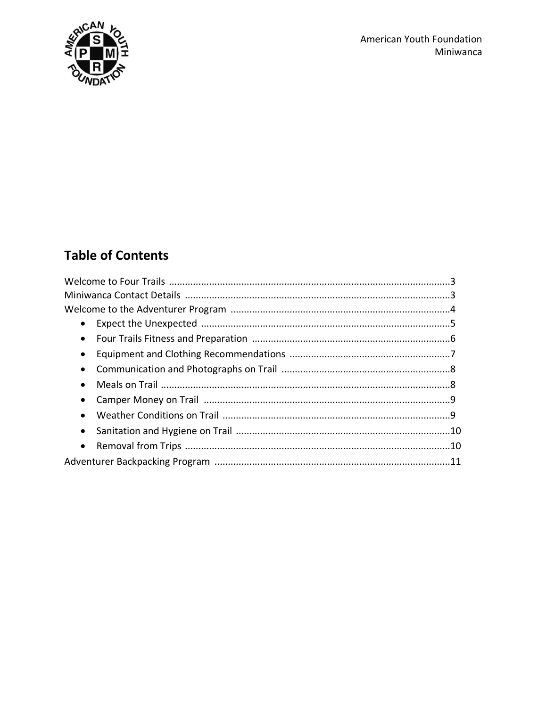

# **Table of Contents**

| $\bullet$ |  |  |  |  |
|-----------|--|--|--|--|
| $\bullet$ |  |  |  |  |
| $\bullet$ |  |  |  |  |
| $\bullet$ |  |  |  |  |
| $\bullet$ |  |  |  |  |
| $\bullet$ |  |  |  |  |
| $\bullet$ |  |  |  |  |
| $\bullet$ |  |  |  |  |
| $\bullet$ |  |  |  |  |
|           |  |  |  |  |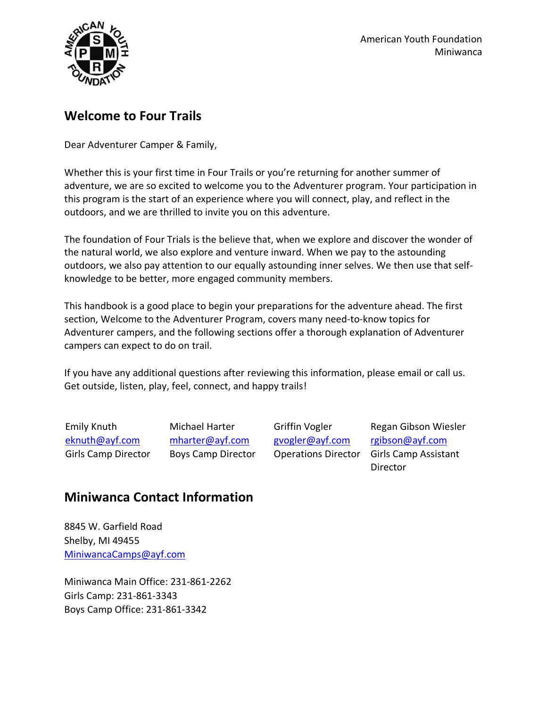

## **Welcome to Four Trails**

Dear Adventurer Camper & Family,

Whether this is your first time in Four Trails or you're returning for another summer of adventure, we are so excited to welcome you to the Adventurer program. Your participation in this program is the start of an experience where you will connect, play, and reflect in the outdoors, and we are thrilled to invite you on this adventure.

The foundation of Four Trials is the believe that, when we explore and discover the wonder of the natural world, we also explore and venture inward. When we pay to the astounding outdoors, we also pay attention to our equally astounding inner selves. We then use that selfknowledge to be better, more engaged community members.

This handbook is a good place to begin your preparations for the adventure ahead. The first section, Welcome to the Adventurer Program, covers many need-to-know topics for Adventurer campers, and the following sections offer a thorough explanation of Adventurer campers can expect to do on trail.

If you have any additional questions after reviewing this information, please email or call us. Get outside, listen, play, feel, connect, and happy trails!

Emily Knuth [eknuth@ayf.com](mailto:eknuth@ayf.com) Girls Camp Director Michael Harter [mharter@ayf.com](mailto:mharter@ayf.com) Boys Camp Director

Griffin Vogler [gvogler@ayf.com](mailto:gvogler@ayf.com)  Operations Director

Regan Gibson Wiesler [rgibson@ayf.com](mailto:rgibson@ayf.com) Girls Camp Assistant Director

## **Miniwanca Contact Information**

8845 W. Garfield Road Shelby, MI 49455 [MiniwancaCamps@ayf.com](mailto:MiniwancaCamps@ayf.com)

Miniwanca Main Office: 231-861-2262 Girls Camp: 231-861-3343 Boys Camp Office: 231-861-3342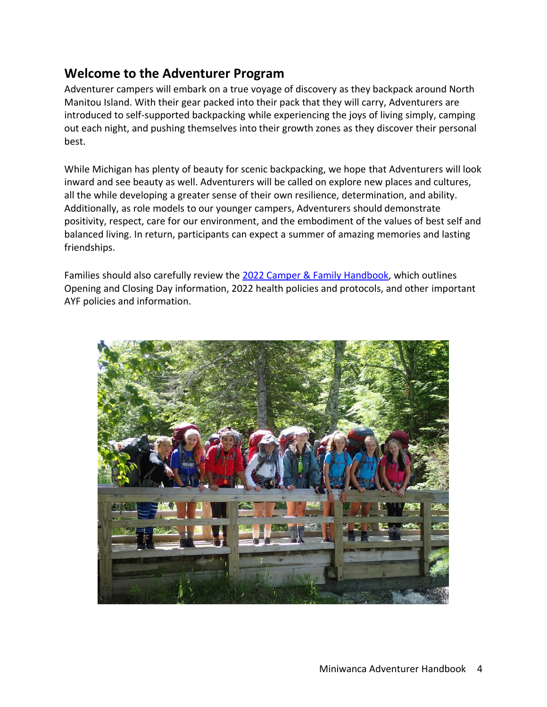## **Welcome to the Adventurer Program**

Adventurer campers will embark on a true voyage of discovery as they backpack around North Manitou Island. With their gear packed into their pack that they will carry, Adventurers are introduced to self-supported backpacking while experiencing the joys of living simply, camping out each night, and pushing themselves into their growth zones as they discover their personal best.

While Michigan has plenty of beauty for scenic backpacking, we hope that Adventurers will look inward and see beauty as well. Adventurers will be called on explore new places and cultures, all the while developing a greater sense of their own resilience, determination, and ability. Additionally, as role models to our younger campers, Adventurers should demonstrate positivity, respect, care for our environment, and the embodiment of the values of best self and balanced living. In return, participants can expect a summer of amazing memories and lasting friendships.

Families should also carefully review the [2022 Camper & Family Handbook,](https://ayf.com/wp-content/uploads/2022/03/2022-Miniwanca-Handbook.pdf) which outlines Opening and Closing Day information, 2022 health policies and protocols, and other important AYF policies and information.

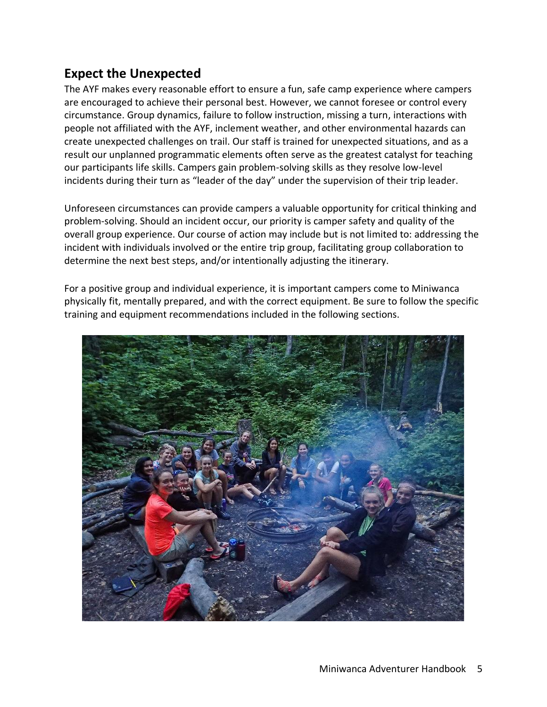## **Expect the Unexpected**

The AYF makes every reasonable effort to ensure a fun, safe camp experience where campers are encouraged to achieve their personal best. However, we cannot foresee or control every circumstance. Group dynamics, failure to follow instruction, missing a turn, interactions with people not affiliated with the AYF, inclement weather, and other environmental hazards can create unexpected challenges on trail. Our staff is trained for unexpected situations, and as a result our unplanned programmatic elements often serve as the greatest catalyst for teaching our participants life skills. Campers gain problem-solving skills as they resolve low-level incidents during their turn as "leader of the day" under the supervision of their trip leader.

Unforeseen circumstances can provide campers a valuable opportunity for critical thinking and problem-solving. Should an incident occur, our priority is camper safety and quality of the overall group experience. Our course of action may include but is not limited to: addressing the incident with individuals involved or the entire trip group, facilitating group collaboration to determine the next best steps, and/or intentionally adjusting the itinerary.

For a positive group and individual experience, it is important campers come to Miniwanca physically fit, mentally prepared, and with the correct equipment. Be sure to follow the specific training and equipment recommendations included in the following sections.

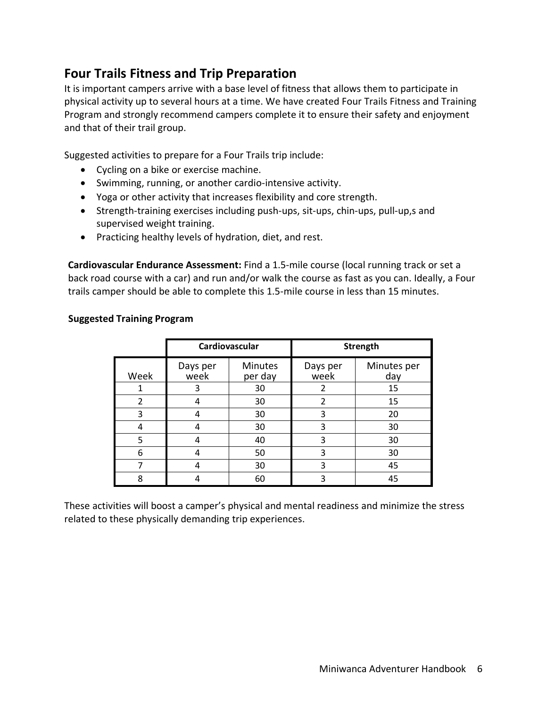## **Four Trails Fitness and Trip Preparation**

It is important campers arrive with a base level of fitness that allows them to participate in physical activity up to several hours at a time. We have created Four Trails Fitness and Training Program and strongly recommend campers complete it to ensure their safety and enjoyment and that of their trail group.

Suggested activities to prepare for a Four Trails trip include:

- Cycling on a bike or exercise machine.
- Swimming, running, or another cardio-intensive activity.
- Yoga or other activity that increases flexibility and core strength.
- Strength-training exercises including push-ups, sit-ups, chin-ups, pull-up,s and supervised weight training.
- Practicing healthy levels of hydration, diet, and rest.

**Cardiovascular Endurance Assessment:** Find a 1.5-mile course (local running track or set a back road course with a car) and run and/or walk the course as fast as you can. Ideally, a Four trails camper should be able to complete this 1.5-mile course in less than 15 minutes.

|               | Cardiovascular   |                           | <b>Strength</b>  |                    |
|---------------|------------------|---------------------------|------------------|--------------------|
| Week          | Days per<br>week | <b>Minutes</b><br>per day | Days per<br>week | Minutes per<br>day |
|               | 3                | 30                        | 2                | 15                 |
| $\mathcal{P}$ |                  | 30                        | $\overline{2}$   | 15                 |
| 3             |                  | 30                        | 3                | 20                 |
| 4             |                  | 30                        | 3                | 30                 |
| 5             |                  | 40                        | 3                | 30                 |
| 6             |                  | 50                        | 3                | 30                 |
|               |                  | 30                        | 3                | 45                 |
| 8             |                  | 60                        |                  | 45                 |

#### **Suggested Training Program**

These activities will boost a camper's physical and mental readiness and minimize the stress related to these physically demanding trip experiences.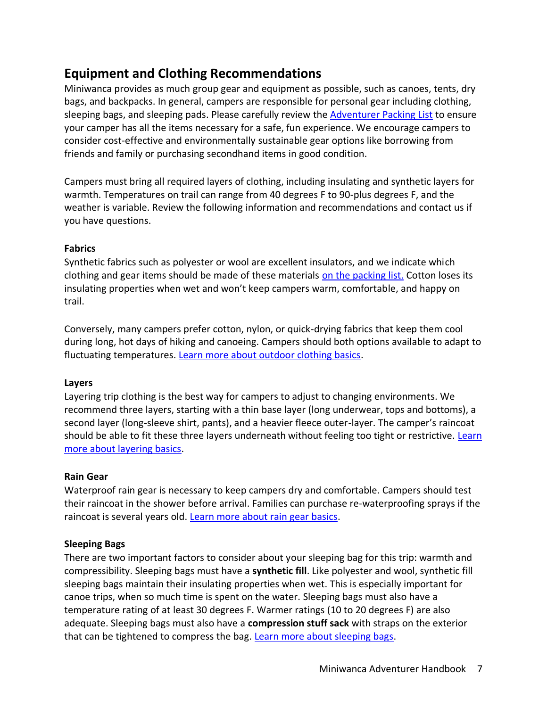## **Equipment and Clothing Recommendations**

Miniwanca provides as much group gear and equipment as possible, such as canoes, tents, dry bags, and backpacks. In general, campers are responsible for personal gear including clothing, sleeping bags, and sleeping pads. Please carefully review the **Adventurer Packing List** to ensure your camper has all the items necessary for a safe, fun experience. We encourage campers to consider cost-effective and environmentally sustainable gear options like borrowing from friends and family or purchasing secondhand items in good condition.

Campers must bring all required layers of clothing, including insulating and synthetic layers for warmth. Temperatures on trail can range from 40 degrees F to 90-plus degrees F, and the weather is variable. Review the following information and recommendations and contact us if you have questions.

#### **Fabrics**

Synthetic fabrics such as polyester or wool are excellent insulators, and we indicate which clothing and gear items should be made of these materials [on the packing list.](https://ayf.com/wp-content/uploads/2022/04/MW-ADV-Packing-List-2022.pdf) Cotton loses its insulating properties when wet and won't keep campers warm, comfortable, and happy on trail.

Conversely, many campers prefer cotton, nylon, or quick-drying fabrics that keep them cool during long, hot days of hiking and canoeing. Campers should both options available to adapt to fluctuating temperatures. Learn more about outdoor clothing basics.

#### **Layers**

Layering trip clothing is the best way for campers to adjust to changing environments. We recommend three layers, starting with a thin base layer (long underwear, tops and bottoms), a second layer (long-sleeve shirt, pants), and a heavier fleece outer-layer. The camper's raincoat should be able to fit these three layers underneath without feeling too tight or restrictive. Learn [more about layering basics.](https://www.rei.com/learn/expert-advice/layering-basics.html)

#### **Rain Gear**

Waterproof rain gear is necessary to keep campers dry and comfortable. Campers should test their raincoat in the shower before arrival. Families can purchase re-waterproofing sprays if the raincoat is several years old. [Learn more about rain gear basics.](https://www.rei.com/learn/expert-advice/rainwear.html)

#### **Sleeping Bags**

There are two important factors to consider about your sleeping bag for this trip: warmth and compressibility. Sleeping bags must have a **synthetic fill**. Like polyester and wool, synthetic fill sleeping bags maintain their insulating properties when wet. This is especially important for canoe trips, when so much time is spent on the water. Sleeping bags must also have a temperature rating of at least 30 degrees F. Warmer ratings (10 to 20 degrees F) are also adequate. Sleeping bags must also have a **compression stuff sack** with straps on the exterior that can be tightened to compress the bag. [Learn more about sleeping bags.](https://www.rei.com/learn/expert-advice/sleeping-bag.html)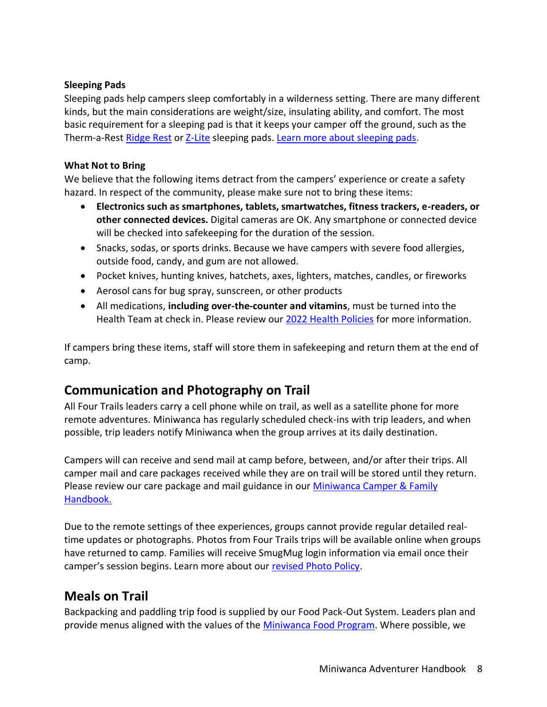#### **Sleeping Pads**

Sleeping pads help campers sleep comfortably in a wilderness setting. There are many different kinds, but the main considerations are weight/size, insulating ability, and comfort. The most basic requirement for a sleeping pad is that it keeps your camper off the ground, such as the Therm-a-Rest [Ridge Rest](https://www.thermarest.com/sleeping-pads/trek-and-travel/ridgerest-classic-sleeping-pad/ridgerest-classic.html) or [Z-Lite](https://www.thermarest.com/sleeping-pads/fast-and-light/z-lite-sol-sleeping-pad/z-lite-sol.html) sleeping pads. [Learn more about sleeping pads.](https://www.rei.com/learn/expert-advice/sleeping-pads.html)

#### **What Not to Bring**

We believe that the following items detract from the campers' experience or create a safety hazard. In respect of the community, please make sure not to bring these items:

- **Electronics such as smartphones, tablets, smartwatches, fitness trackers, e-readers, or other connected devices.** Digital cameras are OK. Any smartphone or connected device will be checked into safekeeping for the duration of the session.
- Snacks, sodas, or sports drinks. Because we have campers with severe food allergies, outside food, candy, and gum are not allowed.
- Pocket knives, hunting knives, hatchets, axes, lighters, matches, candles, or fireworks
- Aerosol cans for bug spray, sunscreen, or other products
- All medications, **including over-the-counter and vitamins**, must be turned into the Health Team at check in. Please review our [2022 Health Policies](https://ayf.com/wp-content/uploads/2022/02/MW-2022-Health-Updates.pdf) for more information.

If campers bring these items, staff will store them in safekeeping and return them at the end of camp.

## **Communication and Photography on Trail**

All Four Trails leaders carry a cell phone while on trail, as well as a satellite phone for more remote adventures. Miniwanca has regularly scheduled check-ins with trip leaders, and when possible, trip leaders notify Miniwanca when the group arrives at its daily destination.

Campers will can receive and send mail at camp before, between, and/or after their trips. All camper mail and care packages received while they are on trail will be stored until they return. Please review our care package and mail guidance in our [Miniwanca Camper & Family](https://ayf.com/wp-content/uploads/2022/03/2022-Miniwanca-Handbook.pdf)  [Handbook.](https://ayf.com/wp-content/uploads/2022/03/2022-Miniwanca-Handbook.pdf)

Due to the remote settings of thee experiences, groups cannot provide regular detailed realtime updates or photographs. Photos from Four Trails trips will be available online when groups have returned to camp. Families will receive SmugMug login information via email once their camper's session begins. Learn more about our [revised Photo Policy.](https://ayf.com/ayf-onsite-photo-policy/)

## **Meals on Trail**

Backpacking and paddling trip food is supplied by our Food Pack-Out System. Leaders plan and provide menus aligned with the values of the [Miniwanca Food Program.](https://ayf.com/who-we-are/mission-philosophy/#:~:text=SUSTAINABILITY%20GUIDING%20PRINCIPLES-,FOOD%20PROGRAM%20GUIDING%20PRINCIPLES,-We%20strive%20to) Where possible, we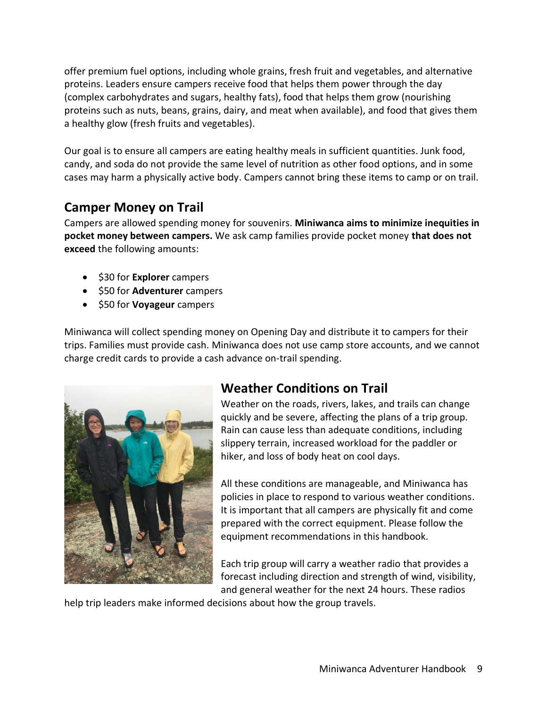offer premium fuel options, including whole grains, fresh fruit and vegetables, and alternative proteins. Leaders ensure campers receive food that helps them power through the day (complex carbohydrates and sugars, healthy fats), food that helps them grow (nourishing proteins such as nuts, beans, grains, dairy, and meat when available), and food that gives them a healthy glow (fresh fruits and vegetables).

Our goal is to ensure all campers are eating healthy meals in sufficient quantities. Junk food, candy, and soda do not provide the same level of nutrition as other food options, and in some cases may harm a physically active body. Campers cannot bring these items to camp or on trail.

## **Camper Money on Trail**

Campers are allowed spending money for souvenirs. **Miniwanca aims to minimize inequities in pocket money between campers.** We ask camp families provide pocket money **that does not exceed** the following amounts:

- \$30 for **Explorer** campers
- \$50 for **Adventurer** campers
- \$50 for **Voyageur** campers

Miniwanca will collect spending money on Opening Day and distribute it to campers for their trips. Families must provide cash. Miniwanca does not use camp store accounts, and we cannot charge credit cards to provide a cash advance on-trail spending.



## **Weather Conditions on Trail**

Weather on the roads, rivers, lakes, and trails can change quickly and be severe, affecting the plans of a trip group. Rain can cause less than adequate conditions, including slippery terrain, increased workload for the paddler or hiker, and loss of body heat on cool days.

All these conditions are manageable, and Miniwanca has policies in place to respond to various weather conditions. It is important that all campers are physically fit and come prepared with the correct equipment. Please follow the equipment recommendations in this handbook.

Each trip group will carry a weather radio that provides a forecast including direction and strength of wind, visibility, and general weather for the next 24 hours. These radios

help trip leaders make informed decisions about how the group travels.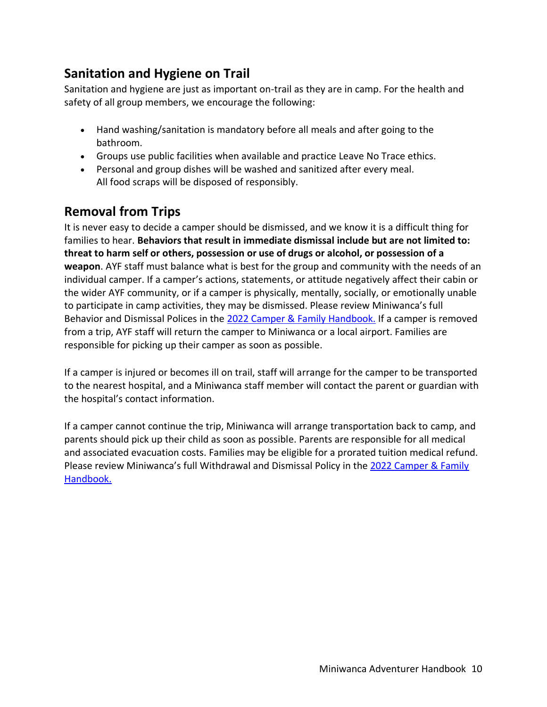## **Sanitation and Hygiene on Trail**

Sanitation and hygiene are just as important on-trail as they are in camp. For the health and safety of all group members, we encourage the following:

- Hand washing/sanitation is mandatory before all meals and after going to the bathroom.
- Groups use public facilities when available and practice Leave No Trace ethics.
- Personal and group dishes will be washed and sanitized after every meal. All food scraps will be disposed of responsibly.

## **Removal from Trips**

It is never easy to decide a camper should be dismissed, and we know it is a difficult thing for families to hear. **Behaviors that result in immediate dismissal include but are not limited to: threat to harm self or others, possession or use of drugs or alcohol, or possession of a weapon**. AYF staff must balance what is best for the group and community with the needs of an individual camper. If a camper's actions, statements, or attitude negatively affect their cabin or the wider AYF community, or if a camper is physically, mentally, socially, or emotionally unable to participate in camp activities, they may be dismissed. Please review Miniwanca's full Behavior and Dismissal Polices in the 2022 Camper & [Family Handbook.](https://ayf.com/wp-content/uploads/2022/03/2022-Miniwanca-Handbook.pdf) If a camper is removed from a trip, AYF staff will return the camper to Miniwanca or a local airport. Families are responsible for picking up their camper as soon as possible.

If a camper is injured or becomes ill on trail, staff will arrange for the camper to be transported to the nearest hospital, and a Miniwanca staff member will contact the parent or guardian with the hospital's contact information.

If a camper cannot continue the trip, Miniwanca will arrange transportation back to camp, and parents should pick up their child as soon as possible. Parents are responsible for all medical and associated evacuation costs. Families may be eligible for a prorated tuition medical refund. Please review Miniwanca's full Withdrawal and Dismissal Policy in the [2022 Camper & Family](https://ayf.com/wp-content/uploads/2022/03/2022-Miniwanca-Handbook.pdf)  [Handbook.](https://ayf.com/wp-content/uploads/2022/03/2022-Miniwanca-Handbook.pdf)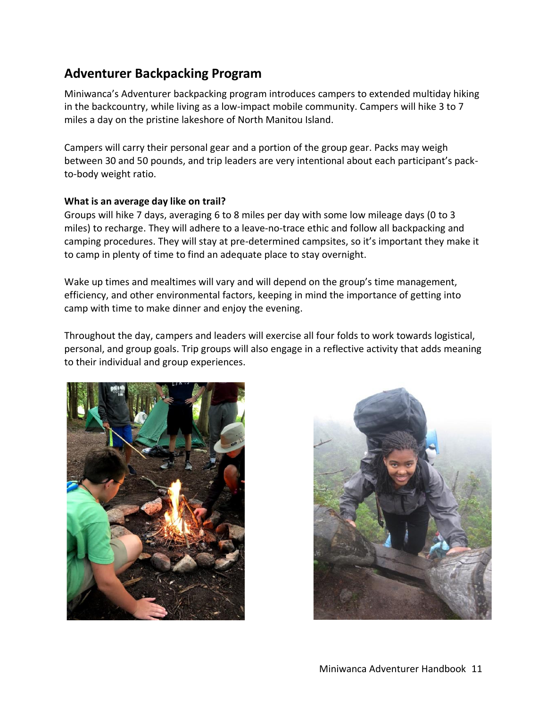## **Adventurer Backpacking Program**

Miniwanca's Adventurer backpacking program introduces campers to extended multiday hiking in the backcountry, while living as a low-impact mobile community. Campers will hike 3 to 7 miles a day on the pristine lakeshore of North Manitou Island.

Campers will carry their personal gear and a portion of the group gear. Packs may weigh between 30 and 50 pounds, and trip leaders are very intentional about each participant's packto-body weight ratio.

#### **What is an average day like on trail?**

Groups will hike 7 days, averaging 6 to 8 miles per day with some low mileage days (0 to 3 miles) to recharge. They will adhere to a leave-no-trace ethic and follow all backpacking and camping procedures. They will stay at pre-determined campsites, so it's important they make it to camp in plenty of time to find an adequate place to stay overnight.

Wake up times and mealtimes will vary and will depend on the group's time management, efficiency, and other environmental factors, keeping in mind the importance of getting into camp with time to make dinner and enjoy the evening.

Throughout the day, campers and leaders will exercise all four folds to work towards logistical, personal, and group goals. Trip groups will also engage in a reflective activity that adds meaning to their individual and group experiences.